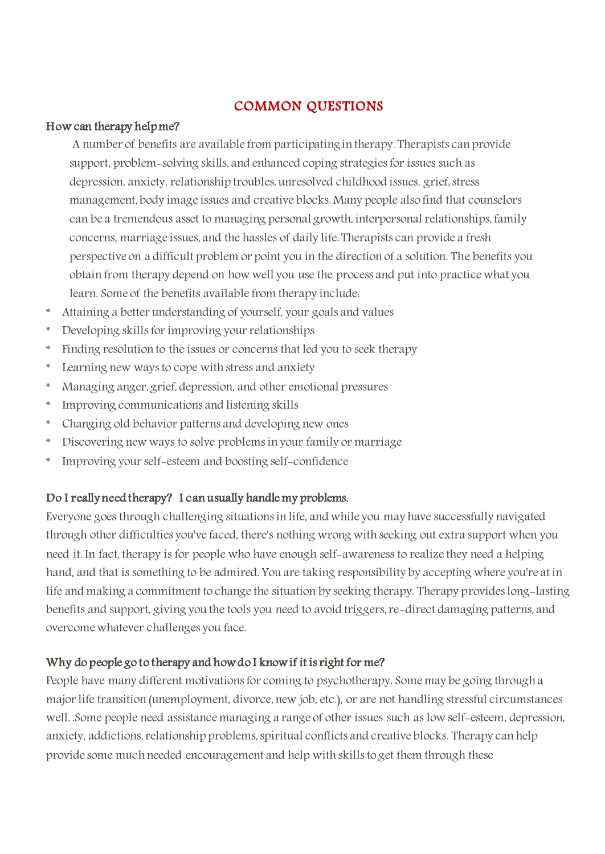# COMMON QUESTIONS

#### How can therapy help me?

A number of benefits are available from participating in therapy. Therapists can provide support, problem-solving skills, and enhanced coping strategies for issues such as depression, anxiety, relationship troubles, unresolved childhood issues, grief, stress management, body image issues and creative blocks. Many people also find that counselors can be a tremendous asset to managing personal growth, interpersonal relationships, family concerns, marriage issues, and the hassles of daily life. Therapists can provide a fresh perspective on a difficult problem or point you in the direction of a solution. The benefits you obtain from therapy depend on how well you use the process and put into practice what you learn. Some of the benefits available from therapy include:

- Attaining a better understanding of yourself, your goals and values
- \* Developing skillsfor improving your relationships
- \* Finding resolution to the issues or concerns that led you to seek therapy
- \* Learning new ways to cope with stress and anxiety
- \* Managing anger, grief, depression, and other emotional pressures
- \* Improving communications and listening skills
- \* Changing old behavior patterns and developing new ones
- \* Discovering new ways to solve problems in your family or marriage
- \* Improving your self-esteem and boosting self-confidence

# Do I really need therapy? I can usually handle my problems.

Everyone goes through challenging situations in life, and while you may have successfully navigated through other difficulties you've faced, there's nothing wrong with seeking out extra support when you need it. In fact, therapy is for people who have enough self-awareness to realize they need a helping hand, and that is something to be admired. You are taking responsibility by accepting where you're at in life and making a commitment to change the situation by seeking therapy. Therapy provides long-lasting benefits and support, giving you the tools you need to avoid triggers, re-direct damaging patterns, and overcome whatever challenges you face.

# Why do people go to therapy and how do I know if it is right for me?

People have many different motivations for coming to psychotherapy. Some may be going through a major life transition (unemployment, divorce, new job, etc.), or are not handling stressful circumstances well. .Some people need assistance managing a range of other issues such as low self-esteem, depression, anxiety, addictions, relationship problems, spiritual conflicts and creative blocks. Therapy can help provide some much needed encouragement and help with skills to get them through these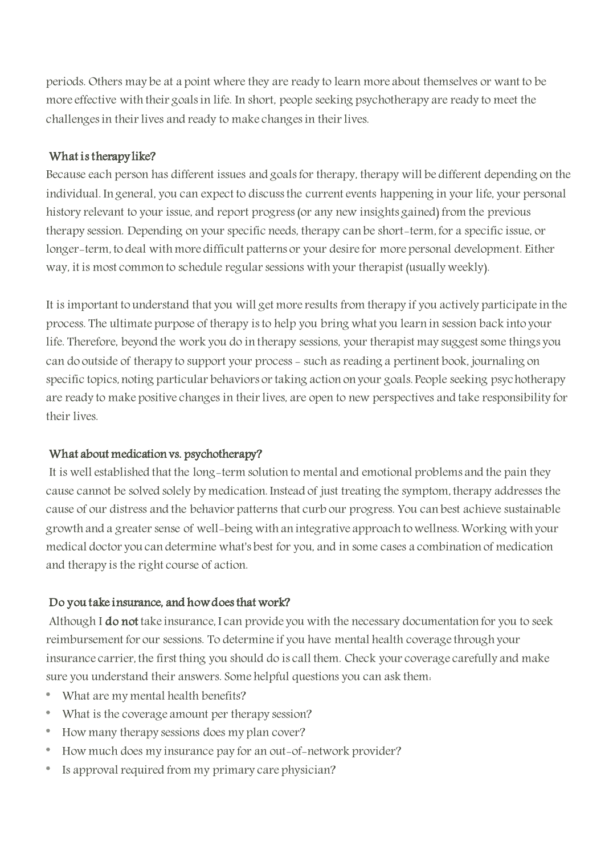periods. Others may be at a point where they are ready to learn more about themselves or want to be more effective with their goals in life. In short, people seeking psychotherapy are ready to meet the challenges in their lives and ready to make changes in their lives.

### What is therapy like?

Because each person has different issues and goals for therapy, therapy will be different depending on the individual. In general, you can expect to discuss the current events happening in your life, your personal history relevant to your issue, and report progress (or any new insights gained) from the previous therapy session. Depending on your specific needs, therapy can be short-term, for a specific issue, or longer-term, to deal with more difficult patterns or your desire for more personal development. Either way, it is most common to schedule regular sessions with your therapist (usually weekly).

It is important to understand that you will get more results from therapy if you actively participate in the process. The ultimate purpose of therapy is to help you bring what you learn in session back into your life. Therefore, beyond the work you do in therapy sessions, your therapist may suggest some things you can do outside of therapy to support your process - such as reading a pertinent book, journaling on specific topics, noting particular behaviors or taking action on your goals. People seeking psychotherapy are ready to make positive changes in their lives, are open to new perspectives and take responsibility for their lives.

# What about medication vs. psychotherapy?

It is well established that the long-term solution to mental and emotional problems and the pain they cause cannot be solved solely by medication. Instead of just treating the symptom, therapy addresses the cause of our distress and the behavior patterns that curb our progress. You can best achieve sustainable growth and a greater sense of well-being with an integrative approach to wellness. Working with your medical doctor you can determine what's best for you, and in some cases a combination of medication and therapy is the right course of action.

# Do you take insurance, and how does that work?

Although I do not take insurance, I can provide you with the necessary documentation for you to seek reimbursement for our sessions. To determine if you have mental health coverage through your insurance carrier, the first thing you should do is call them. Check your coverage carefully and make sure you understand their answers. Some helpful questions you can ask them:

- What are my mental health benefits?
- \* What is the coverage amount per therapy session?
- \* How many therapy sessions does my plan cover?
- \* How much does my insurance pay for an out-of-network provider?
- Is approval required from my primary care physician?